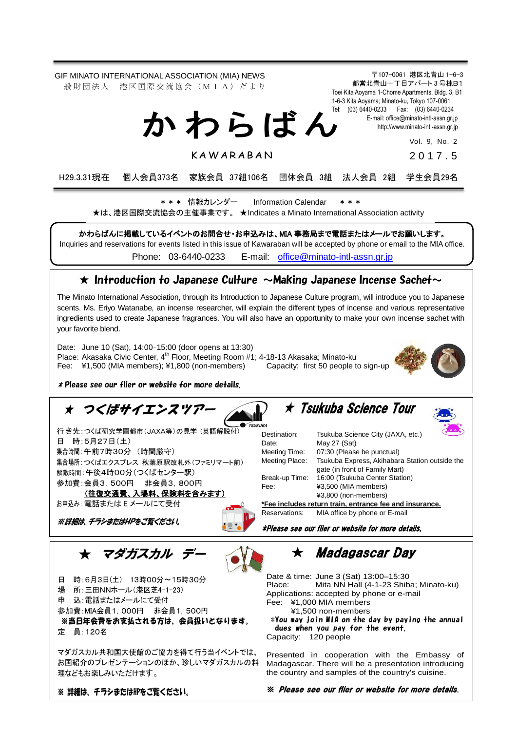GIF MINATO INTERNATIONAL ASSOCIATION (MIA) NEWS 一般 財 団 法 人 港 区 国 際 交 流 協 会 (M I A) だ よ り

〒107-0061 港区北青山 1-6-3 都営北青山一丁目アパート 3 号棟B1 Toei Kita Aoyama 1-Chome Apartments, Bldg. 3, B1 1-6-3 Kita Aoyama; Minato-ku, Tokyo 107-0061 Tel: (03) 6440-0233 Fax: (03) 6440-0234 E-mail[: office@minato-intl-assn.gr.jp](mailto:office@minato-intl-assn.gr.jp) [http://www.minato-intl-assn.gr.jp](http://www.minato-intl-assn.gr.jp/) か わ ら ば ん

Vol. 9, No. 2

2 0 1 7 . 5

H29.3.31現在 個人会員373名 家族会員 37組106名 団体会員 3組 法人会員 2組 学生会員29名

\* \* \* 情報カレンダー Information Calendar \* \* \*

**KAWARABAN** 

★は、港区国際交流協会の主催事業です。 ★Indicates a Minato International Association activity

かわらばんに掲載しているイベントのお問合せ・お申込みは、MIA 事務局まで電話またはメールでお願いします。

Inquiries and reservations for events listed in this issue of Kawaraban will be accepted by phone or email to the MIA office.

Phone: [03-6440-0233](mailto:TEL:%0903-6440-0233) E-mail: [office@minato-intl-assn.gr.jp](mailto:office@minato-intl-assn.gr.jp)

### $\star$  Introduction to Japanese Culture  $\sim$ Making Japanese Incense Sachet $\sim$

The Minato International Association, through its Introduction to Japanese Culture program, will introduce you to Japanese scents. Ms. Eriyo Watanabe, an incense researcher, will explain the different types of incense and various representative ingredients used to create Japanese fragrances. You will also have an opportunity to make your own incense sachet with your favorite blend.

Date: June 10 (Sat), 14:00–15:00 (door opens at 13:30) Place: Akasaka Civic Center, 4<sup>th</sup> Floor, Meeting Room #1; 4-18-13 Akasaka; Minato-ku<br>Fee: ¥1,500 (MIA members); ¥1,800 (non-members) Capacity: first 50 people to sign-up Fee:  $\yen$ 1,500 (MIA members);  $\yen$ 1,800 (non-members)



\* Please see our flier or website for more details.

# ★ つくばサイエンスツア

行 き先:つくば研究学園都市(JAXA等)の見学 (英語解説付) 日 時:5月27日(土) 集合時間:午前7時30分 (時間厳守) 集合場所:つくばエクスプレス 秋葉原駅改札外(ファミリマート前) 解散時間:午後4時00分(つくばセンター駅) 参加費:会員3,500円 非会員3,800円

(往復交通費、入場料、保険料を含みます) お申込み:電話または E メールにて受付

※詳細は、チラシまたはHPをご覧ください。



★ Tsukuba Science Tour



Destination: Tsukuba Science City (JAXA, etc.) Date: May 27 (Sat) Meeting Time: 07:30 (Please be punctual)<br>Meeting Place: Tsukuba Express, Akihabar Tsukuba Express, Akihabara Station outside the gate (in front of Family Mart) Break-up Time: 16:00 (Tsukuba Center Station) Fee: ¥3,500 (MIA members) ¥3,800 (non-members) **\*Fee includes return train, entrance fee and insurance.**

Reservations: MIA office by phone or E-mail

\*Please see our flier or website for more details.

★ マダガスカル デー



日 時:6月3日(土) 13時00分~15時30分 場 所:三田NNホール(港区芝4-1-23) 申 込:電話またはメールにて受付 参加費:MIA会員1,000円 非会員1,500円 ※当日年会費をお支払される方は、会員扱いとなります。

定 員:120名

マダガスカル共和国大使館のご協力を得て行う当イベントでは、 お国紹介のプレゼンテーションのほか、珍しいマダガスカルの料 理などもお楽しみいただけます。

★ Madagascar Day

Date & time: June 3 (Sat) 13:00–15:30 Place: Mita NN Hall (4-1-23 Shiba; Minato-ku) Applications: accepted by phone or e-mail Fee: ¥1,000 MIA members

¥1,500 non-members

\*You may join MIA on the day by paying the annual dues when you pay for the event.

Capacity: 120 people

Presented in cooperation with the Embassy of Madagascar. There will be a presentation introducing the country and samples of the country's cuisine.

※ 詳細は、 チラシまたはHPをご覧ください。

※ Please see our flier or website for more details.